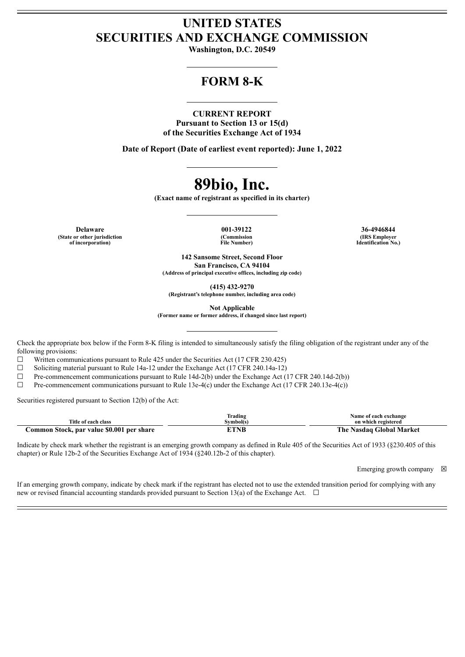## **UNITED STATES SECURITIES AND EXCHANGE COMMISSION**

**Washington, D.C. 20549**

## **FORM 8-K**

#### **CURRENT REPORT**

**Pursuant to Section 13 or 15(d) of the Securities Exchange Act of 1934**

**Date of Report (Date of earliest event reported): June 1, 2022**

# **89bio, Inc.**

**(Exact name of registrant as specified in its charter)**

**Delaware 001-39122 36-4946844 (State or other jurisdiction of incorporation)**

**(Commission File Number)**

**(IRS Employer Identification No.)**

**142 Sansome Street, Second Floor San Francisco, CA 94104 (Address of principal executive offices, including zip code)**

**(415) 432-9270**

**(Registrant's telephone number, including area code)**

**Not Applicable**

**(Former name or former address, if changed since last report)**

Check the appropriate box below if the Form 8-K filing is intended to simultaneously satisfy the filing obligation of the registrant under any of the following provisions:

☐ Written communications pursuant to Rule 425 under the Securities Act (17 CFR 230.425)

 $\Box$  Soliciting material pursuant to Rule 14a-12 under the Exchange Act (17 CFR 240.14a-12)

 $\Box$  Pre-commencement communications pursuant to Rule 14d-2(b) under the Exchange Act (17 CFR 240.14d-2(b))

 $\Box$  Pre-commencement communications pursuant to Rule 13e-4(c) under the Exchange Act (17 CFR 240.13e-4(c))

Securities registered pursuant to Section 12(b) of the Act:

|                                           | Trading   | Name of each exchange         |
|-------------------------------------------|-----------|-------------------------------|
| Title of each class                       | švmbol(s` | on which registered           |
| Common Stock, par value \$0.001 per share | ETNB      | Nasdaq Global Market<br>The : |

Indicate by check mark whether the registrant is an emerging growth company as defined in Rule 405 of the Securities Act of 1933 (§230.405 of this chapter) or Rule 12b-2 of the Securities Exchange Act of 1934 (§240.12b-2 of this chapter).

Emerging growth company  $\boxtimes$ 

If an emerging growth company, indicate by check mark if the registrant has elected not to use the extended transition period for complying with any new or revised financial accounting standards provided pursuant to Section 13(a) of the Exchange Act.  $\Box$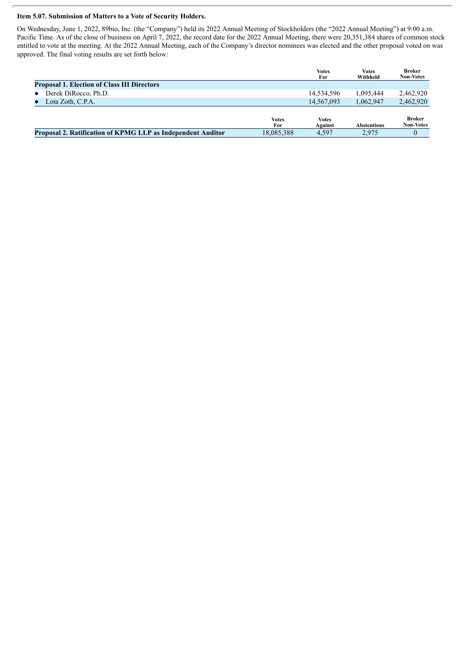### **Item 5.07. Submission of Matters to a Vote of Security Holders.**

On Wednesday, June 1, 2022, 89bio, Inc. (the "Company") held its 2022 Annual Meeting of Stockholders (the "2022 Annual Meeting") at 9:00 a.m. Pacific Time. As of the close of business on April 7, 2022, the record date for the 2022 Annual Meeting, there were 20,351,384 shares of common stock entitled to vote at the meeting. At the 2022 Annual Meeting, each of the Company's director nominees was elected and the other proposal voted on was approved. The final voting results are set forth below:

|                                                             |                     | <b>Votes</b><br>For     | <b>Votes</b><br>Withheld | <b>Broker</b><br><b>Non-Votes</b> |
|-------------------------------------------------------------|---------------------|-------------------------|--------------------------|-----------------------------------|
| <b>Proposal 1. Election of Class III Directors</b>          |                     |                         |                          |                                   |
| Derek DiRocco, Ph.D.<br>$\bullet$                           |                     | 14,534,596              | 1.095.444                | 2,462,920                         |
| Lota Zoth, C.P.A.                                           |                     | 14,567,093              | 1.062.947                | 2,462,920                         |
|                                                             | <b>Votes</b><br>For | <b>Votes</b><br>Against | <b>Abstentions</b>       | <b>Broker</b><br><b>Non-Votes</b> |
| Proposal 2. Ratification of KPMG LLP as Independent Auditor | 18,085,388          | 4.597                   | 2.975                    |                                   |